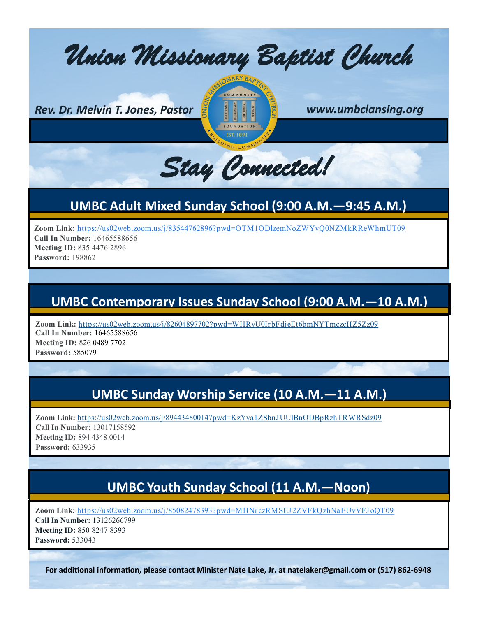*Union Missionary Baptist Church* 

*Rev. Dr. Melvin T. Jones, Pastor www.umbclansing.org*



*Stay Connected!* 

# **UMBC Adult Mixed Sunday School (9:00 A.M.—9:45 A.M.)**

**Zoom Link:** <https://us02web.zoom.us/j/83544762896?pwd=OTM1ODlzemNoZWYvQ0NZMkRReWhmUT09>

**Call In Number:** 16465588656 **Meeting ID:** 835 4476 2896 **Password:** 198862

#### **UMBC Contemporary Issues Sunday School (9:00 A.M.—10 A.M.)**

**Zoom Link:** <https://us02web.zoom.us/j/82604897702?pwd=WHRvU0IrbFdjeEt6bmNYTmczcHZ5Zz09> **Call In Number:** 16465588656 **Meeting ID:** 826 0489 7702 **Password:** 585079

# **UMBC Sunday Worship Service (10 A.M.—11 A.M.)**

**Zoom Link:** <https://us02web.zoom.us/j/89443480014?pwd=KzYva1ZSbnJUUlBnODBpRzhTRWRSdz09> **Call In Number:** 13017158592 **Meeting ID:** 894 4348 0014 **Password:** 633935

# **UMBC Youth Sunday School (11 A.M.—Noon)**

Zoom Link: https://us02web.zoom.us/j/85082478393?pwd=MHNrczRMSEJ2ZVFkQzhNaEUvVFJoQT09 **Call In Number:** 13126266799 **Meeting ID:** 850 8247 8393 **Password:** 533043

**For additional information, please contact Minister Nate Lake, Jr. at natelaker@gmail.com or (517) 862-6948**